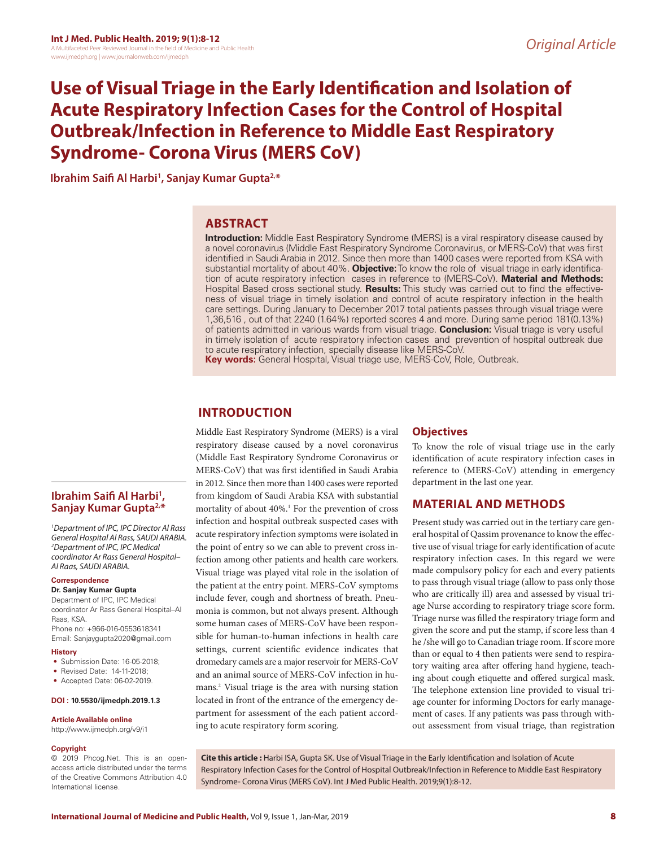# **Use of Visual Triage in the Early Identification and Isolation of Acute Respiratory Infection Cases for the Control of Hospital Outbreak/Infection in Reference to Middle East Respiratory Syndrome- Corona Virus (MERS CoV)**

**Ibrahim Saifi Al Harbi1 , Sanjay Kumar Gupta2,\***

### **ABSTRACT**

**Introduction:** Middle East Respiratory Syndrome (MERS) is a viral respiratory disease caused by a novel coronavirus (Middle East Respiratory Syndrome Coronavirus, or MERS-CoV) that was first identified in Saudi Arabia in 2012. Since then more than 1400 cases were reported from KSA with substantial mortality of about 40%. **Objective:** To know the role of visual triage in early identification of acute respiratory infection cases in reference to (MERS-CoV). **Material and Methods:**  Hospital Based cross sectional study. **Results:** This study was carried out to find the effectiveness of visual triage in timely isolation and control of acute respiratory infection in the health care settings. During January to December 2017 total patients passes through visual triage were 1,36,516 , out of that 2240 (1.64%) reported scores 4 and more. During same period 181(0.13%) of patients admitted in various wards from visual triage. **Conclusion:** Visual triage is very useful in timely isolation of acute respiratory infection cases and prevention of hospital outbreak due to acute respiratory infection, specially disease like MERS-CoV.

**Key words:** General Hospital, Visual triage use, MERS-CoV, Role, Outbreak.

## **INTRODUCTION**

Middle East Respiratory Syndrome (MERS) is a viral respiratory disease caused by a novel coronavirus (Middle East Respiratory Syndrome Coronavirus or MERS-CoV) that was first identified in Saudi Arabia in 2012. Since then more than 1400 cases were reported from kingdom of Saudi Arabia KSA with substantial mortality of about 40%.1 For the prevention of cross infection and hospital outbreak suspected cases with acute respiratory infection symptoms were isolated in the point of entry so we can able to prevent cross infection among other patients and health care workers. Visual triage was played vital role in the isolation of the patient at the entry point. MERS-CoV symptoms include fever, cough and shortness of breath. Pneumonia is common, but not always present. Although some human cases of MERS-CoV have been responsible for human-to-human infections in health care settings, current scientific evidence indicates that dromedary camels are a major reservoir for MERS-CoV and an animal source of MERS-CoV infection in humans.2 Visual triage is the area with nursing station located in front of the entrance of the emergency department for assessment of the each patient according to acute respiratory form scoring.

#### **Objectives**

To know the role of visual triage use in the early identification of acute respiratory infection cases in reference to (MERS-CoV) attending in emergency department in the last one year.

### **MATERIAL AND METHODS**

Present study was carried out in the tertiary care general hospital of Qassim provenance to know the effective use of visual triage for early identification of acute respiratory infection cases. In this regard we were made compulsory policy for each and every patients to pass through visual triage (allow to pass only those who are critically ill) area and assessed by visual triage Nurse according to respiratory triage score form. Triage nurse was filled the respiratory triage form and given the score and put the stamp, if score less than 4 he /she will go to Canadian triage room. If score more than or equal to 4 then patients were send to respiratory waiting area after offering hand hygiene, teaching about cough etiquette and offered surgical mask. The telephone extension line provided to visual triage counter for informing Doctors for early management of cases. If any patients was pass through without assessment from visual triage, than registration

# **Ibrahim Saifi Al Harbi1 , Sanjay Kumar Gupta2,\***

*1 Department of IPC, IPC Director Al Rass General Hospital Al Rass, SAUDI ARABIA. 2 Department of IPC, IPC Medical coordinator Ar Rass General Hospital– Al Raas, SAUDI ARABIA.*

#### **Correspondence**

**Dr. Sanjay Kumar Gupta**

Department of IPC, IPC Medical coordinator Ar Rass General Hospital–Al Raas, KSA. Phone no: +966-016-0553618341 Email: Sanjaygupta2020@gmail.com

#### **History**

- Submission Date: 16-05-2018;
- Revised Date: 14-11-2018;
- Accepted Date: 06-02-2019.

#### **DOI : 10.5530/ijmedph.2019.1.3**

#### **Article Available online**

http://www.ijmedph.org/v9/i1

#### **Copyright**

© 2019 Phcog.Net. This is an openaccess article distributed under the terms of the Creative Commons Attribution 4.0 International license.

**Cite this article :** Harbi ISA, Gupta SK. Use of Visual Triage in the Early Identification and Isolation of Acute Respiratory Infection Cases for the Control of Hospital Outbreak/Infection in Reference to Middle East Respiratory Syndrome- Corona Virus (MERS CoV). Int J Med Public Health. 2019;9(1):8-12.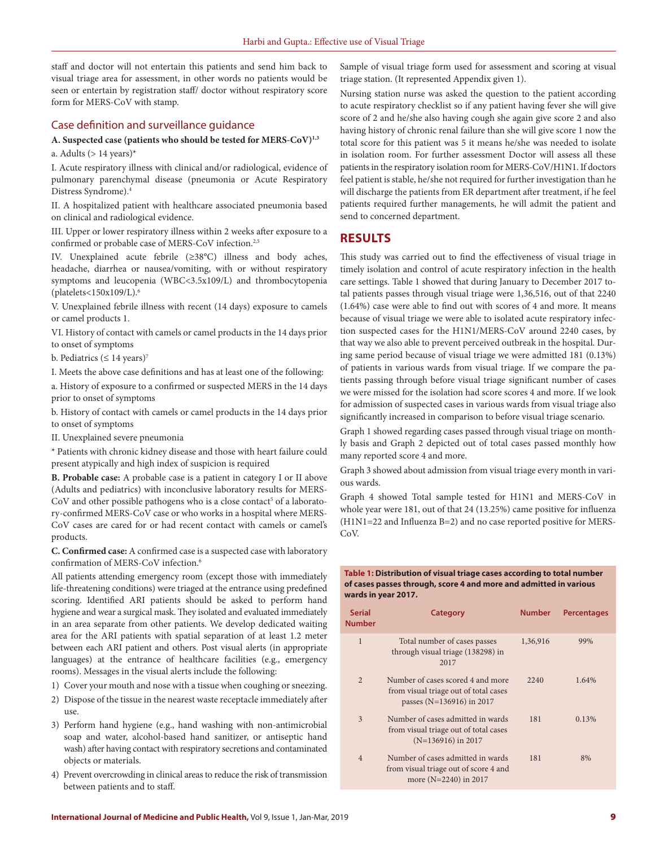staff and doctor will not entertain this patients and send him back to visual triage area for assessment, in other words no patients would be seen or entertain by registration staff/ doctor without respiratory score form for MERS-CoV with stamp.

#### Case definition and surveillance guidance

#### **A. Suspected case (patients who should be tested for MERS-CoV)1,3**

a. Adults ( $> 14$  years)\*

I. Acute respiratory illness with clinical and/or radiological, evidence of pulmonary parenchymal disease (pneumonia or Acute Respiratory Distress Syndrome).4

II. A hospitalized patient with healthcare associated pneumonia based on clinical and radiological evidence.

III. Upper or lower respiratory illness within 2 weeks after exposure to a confirmed or probable case of MERS-CoV infection.<sup>2,5</sup>

IV. Unexplained acute febrile (≥38°C) illness and body aches, headache, diarrhea or nausea/vomiting, with or without respiratory symptoms and leucopenia (WBC<3.5x109/L) and thrombocytopenia (platelets<150x109/L).6

V. Unexplained febrile illness with recent (14 days) exposure to camels or camel products 1.

VI. History of contact with camels or camel products in the 14 days prior to onset of symptoms

b. Pediatrics ( $\leq 14$  years)<sup>7</sup>

I. Meets the above case definitions and has at least one of the following:

a. History of exposure to a confirmed or suspected MERS in the 14 days prior to onset of symptoms

b. History of contact with camels or camel products in the 14 days prior to onset of symptoms

II. Unexplained severe pneumonia

\* Patients with chronic kidney disease and those with heart failure could present atypically and high index of suspicion is required

**B. Probable case:** A probable case is a patient in category I or II above (Adults and pediatrics) with inconclusive laboratory results for MERS-CoV and other possible pathogens who is a close contact<sup>5</sup> of a laboratory-confirmed MERS-CoV case or who works in a hospital where MERS-CoV cases are cared for or had recent contact with camels or camel's products.

**C. Confirmed case:** A confirmed case is a suspected case with laboratory confirmation of MERS-CoV infection.6

All patients attending emergency room (except those with immediately life-threatening conditions) were triaged at the entrance using predefined scoring. Identified ARI patients should be asked to perform hand hygiene and wear a surgical mask. They isolated and evaluated immediately in an area separate from other patients. We develop dedicated waiting area for the ARI patients with spatial separation of at least 1.2 meter between each ARI patient and others. Post visual alerts (in appropriate languages) at the entrance of healthcare facilities (e.g., emergency rooms). Messages in the visual alerts include the following:

1) Cover your mouth and nose with a tissue when coughing or sneezing.

- 2) Dispose of the tissue in the nearest waste receptacle immediately after use.
- 3) Perform hand hygiene (e.g., hand washing with non-antimicrobial soap and water, alcohol-based hand sanitizer, or antiseptic hand wash) after having contact with respiratory secretions and contaminated objects or materials.
- 4) Prevent overcrowding in clinical areas to reduce the risk of transmission between patients and to staff.

Sample of visual triage form used for assessment and scoring at visual triage station. (It represented Appendix given 1).

Nursing station nurse was asked the question to the patient according to acute respiratory checklist so if any patient having fever she will give score of 2 and he/she also having cough she again give score 2 and also having history of chronic renal failure than she will give score 1 now the total score for this patient was 5 it means he/she was needed to isolate in isolation room. For further assessment Doctor will assess all these patients in the respiratory isolation room for MERS-CoV/H1N1. If doctors feel patient is stable, he/she not required for further investigation than he will discharge the patients from ER department after treatment, if he feel patients required further managements, he will admit the patient and send to concerned department.

#### **RESULTS**

This study was carried out to find the effectiveness of visual triage in timely isolation and control of acute respiratory infection in the health care settings. Table 1 showed that during January to December 2017 total patients passes through visual triage were 1,36,516, out of that 2240 (1.64%) case were able to find out with scores of 4 and more. It means because of visual triage we were able to isolated acute respiratory infection suspected cases for the H1N1/MERS-CoV around 2240 cases, by that way we also able to prevent perceived outbreak in the hospital. During same period because of visual triage we were admitted 181 (0.13%) of patients in various wards from visual triage. If we compare the patients passing through before visual triage significant number of cases we were missed for the isolation had score scores 4 and more. If we look for admission of suspected cases in various wards from visual triage also significantly increased in comparison to before visual triage scenario.

Graph 1 showed regarding cases passed through visual triage on monthly basis and Graph 2 depicted out of total cases passed monthly how many reported score 4 and more.

Graph 3 showed about admission from visual triage every month in various wards.

Graph 4 showed Total sample tested for H1N1 and MERS-CoV in whole year were 181, out of that 24 (13.25%) came positive for influenza (H1N1=22 and Influenza B=2) and no case reported positive for MERS- $CoV$ 

#### **Table 1: Distribution of visual triage cases according to total number of cases passes through, score 4 and more and admitted in various wards in year 2017.**

| <b>Serial</b><br><b>Number</b> | <b>Category</b>                                                                                         | <b>Number</b> | <b>Percentages</b> |
|--------------------------------|---------------------------------------------------------------------------------------------------------|---------------|--------------------|
| $\mathbf{1}$                   | Total number of cases passes<br>through visual triage (138298) in<br>2017                               | 1,36,916      | 99%                |
| $\overline{2}$                 | Number of cases scored 4 and more<br>from visual triage out of total cases<br>passes (N=136916) in 2017 | 2240          | 1.64%              |
| 3                              | Number of cases admitted in wards<br>from visual triage out of total cases<br>$(N=136916)$ in 2017      | 181           | 0.13%              |
| 4                              | Number of cases admitted in wards<br>from visual triage out of score 4 and<br>more (N=2240) in 2017     | 181           | 8%                 |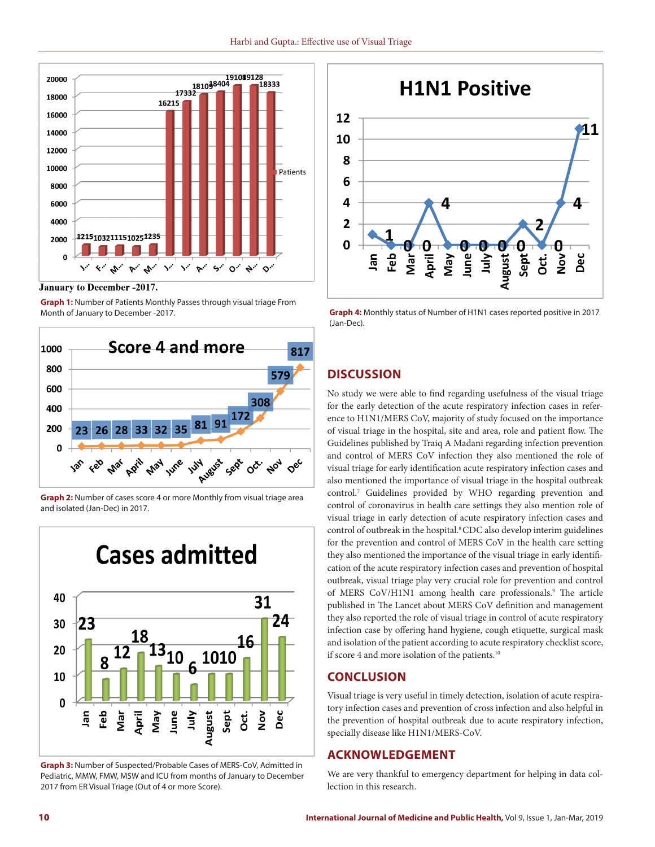

**January to December -2017.** 

**Graph 1:** Number of Patients Monthly Passes through visual triage From Month of January to December -2017.



**Graph 2:** Number of cases score 4 or more Monthly from visual triage area and isolated (Jan-Dec) in 2017.



**Graph 3:** Number of Suspected/Probable Cases of MERS-CoV, Admitted in Pediatric, MMW, FMW, MSW and ICU from months of January to December 2017 from ER Visual Triage (Out of 4 or more Score).



**Graph 4:** Monthly status of Number of H1N1 cases reported positive in 2017 (Jan-Dec).

## **DISCUSSION**

No study we were able to find regarding usefulness of the visual triage for the early detection of the acute respiratory infection cases in reference to H1N1/MERS CoV, majority of study focused on the importance of visual triage in the hospital, site and area, role and patient flow. The Guidelines published by Traiq A Madani regarding infection prevention and control of MERS CoV infection they also mentioned the role of visual triage for early identification acute respiratory infection cases and also mentioned the importance of visual triage in the hospital outbreak control.7 Guidelines provided by WHO regarding prevention and control of coronavirus in health care settings they also mention role of visual triage in early detection of acute respiratory infection cases and control of outbreak in the hospital.<sup>8</sup> CDC also develop interim guidelines for the prevention and control of MERS CoV in the health care setting they also mentioned the importance of the visual triage in early identification of the acute respiratory infection cases and prevention of hospital outbreak, visual triage play very crucial role for prevention and control of MERS CoV/H1N1 among health care professionals.<sup>9</sup> The article published in The Lancet about MERS CoV definition and management they also reported the role of visual triage in control of acute respiratory infection case by offering hand hygiene, cough etiquette, surgical mask and isolation of the patient according to acute respiratory checklist score, if score 4 and more isolation of the patients.<sup>10</sup>

## **CONCLUSION**

Visual triage is very useful in timely detection, isolation of acute respiratory infection cases and prevention of cross infection and also helpful in the prevention of hospital outbreak due to acute respiratory infection, specially disease like H1N1/MERS-CoV.

## **ACKNOWLEDGEMENT**

We are very thankful to emergency department for helping in data collection in this research.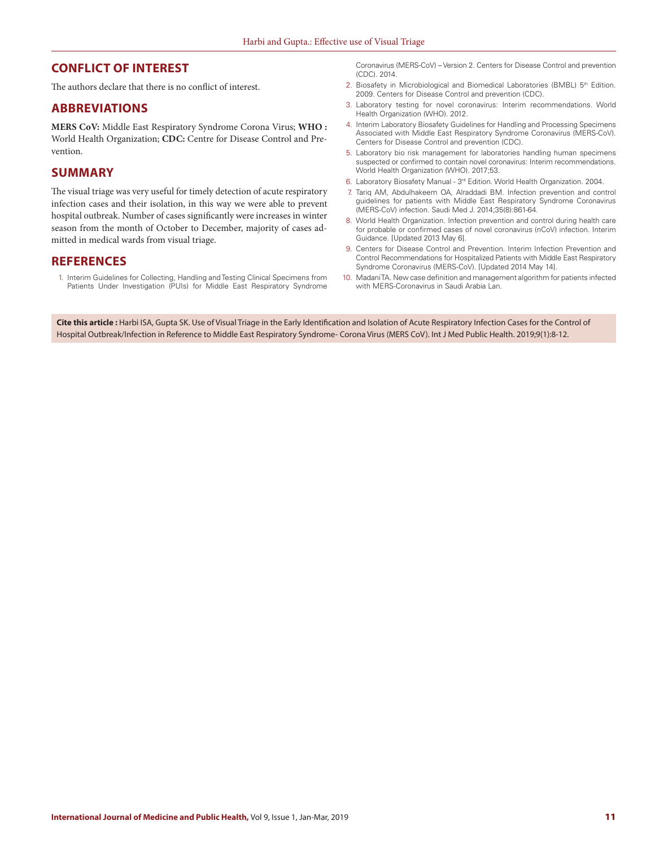### **CONFLICT OF INTEREST**

The authors declare that there is no conflict of interest.

### **ABBREVIATIONS**

**MERS CoV:** Middle East Respiratory Syndrome Corona Virus; **WHO :**  World Health Organization; **CDC:** Centre for Disease Control and Prevention.

### **SUMMARY**

The visual triage was very useful for timely detection of acute respiratory infection cases and their isolation, in this way we were able to prevent hospital outbreak. Number of cases significantly were increases in winter season from the month of October to December, majority of cases admitted in medical wards from visual triage.

#### **REFERENCES**

1. Interim Guidelines for Collecting, Handling and Testing Clinical Specimens from Patients Under Investigation (PUIs) for Middle East Respiratory Syndrome Coronavirus (MERS-CoV) – Version 2. Centers for Disease Control and prevention (CDC). 2014.

- 2. Biosafety in Microbiological and Biomedical Laboratories (BMBL) 5<sup>th</sup> Edition. 2009. Centers for Disease Control and prevention (CDC).
- 3. Laboratory testing for novel coronavirus: Interim recommendations. World Health Organization (WHO). 2012.
- 4. Interim Laboratory Biosafety Guidelines for Handling and Processing Specimens Associated with Middle East Respiratory Syndrome Coronavirus (MERS-CoV). Centers for Disease Control and prevention (CDC).
- 5. Laboratory bio risk management for laboratories handling human specimens suspected or confirmed to contain novel coronavirus: Interim recommendations. World Health Organization (WHO). 2017;53.
- 6. Laboratory Biosafety Manual 3rd Edition. World Health Organization. 2004.
- 7. Tariq AM, Abdulhakeem OA, Alraddadi BM. Infection prevention and control guidelines for patients with Middle East Respiratory Syndrome Coronavirus (MERS-CoV) infection. Saudi Med J. 2014;35(8):861-64.
- 8. World Health Organization. Infection prevention and control during health care for probable or confirmed cases of novel coronavirus (nCoV) infection. Interim Guidance. [Updated 2013 May 6].
- 9. Centers for Disease Control and Prevention. Interim Infection Prevention and Control Recommendations for Hospitalized Patients with Middle East Respiratory Syndrome Coronavirus (MERS-CoV). [Updated 2014 May 14].
- 10. Madani TA. New case definition and management algorithm for patients infected with MERS-Coronavirus in Saudi Arabia Lan.

**Cite this article :** Harbi ISA, Gupta SK. Use of Visual Triage in the Early Identification and Isolation of Acute Respiratory Infection Cases for the Control of Hospital Outbreak/Infection in Reference to Middle East Respiratory Syndrome- Corona Virus (MERS CoV). Int J Med Public Health. 2019;9(1):8-12.